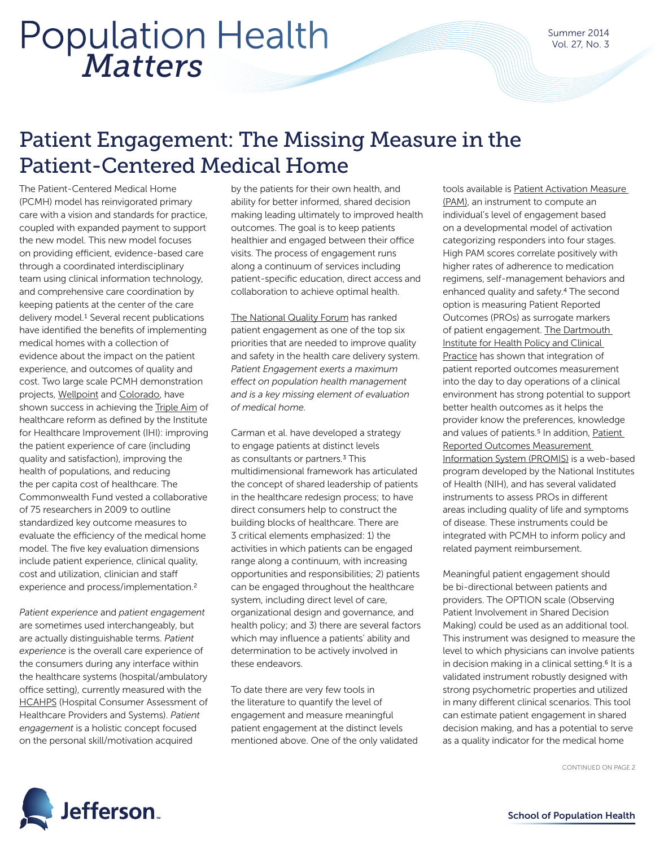# *Matters* Population Health

### Patient Engagement: The Missing Measure in the Patient-Centered Medical Home

The Patient-Centered Medical Home (PCMH) model has reinvigorated primary care with a vision and standards for practice, coupled with expanded payment to support the new model. This new model focuses on providing efficient, evidence-based care through a coordinated interdisciplinary team using clinical information technology, and comprehensive care coordination by keeping patients at the center of the care delivery model.<sup>1</sup> Several recent publications have identified the benefits of implementing medical homes with a collection of evidence about the impact on the patient experience, and outcomes of quality and cost. Two large scale PCMH demonstration projects, [Wellpoint](http://www.thinkwellpoint.com/programs/patient-centered-medical-home) and [Colorado](http://www.healthteamworks.org/medical-home/pcmh-pilot.html), have shown success in achieving the [Triple Aim](http://www.ihi.org/Engage/Initiatives/TripleAim/Pages/default.aspx) of healthcare reform as defined by the Institute for Healthcare Improvement (IHI): improving the patient experience of care (including quality and satisfaction), improving the health of populations, and reducing the per capita cost of healthcare. The Commonwealth Fund vested a collaborative of 75 researchers in 2009 to outline standardized key outcome measures to evaluate the efficiency of the medical home model. The five key evaluation dimensions include patient experience, clinical quality, cost and utilization, clinician and staff experience and process/implementation.2

*Patient experience* and *patient engagement*  are sometimes used interchangeably, but are actually distinguishable terms. *Patient experience* is the overall care experience of the consumers during any interface within the healthcare systems (hospital/ambulatory office setting), currently measured with the [HCAHPS](http://www.hcahpsonline.org/home.aspx) (Hospital Consumer Assessment of Healthcare Providers and Systems). *Patient engagement* is a holistic concept focused on the personal skill/motivation acquired

by the patients for their own health, and ability for better informed, shared decision making leading ultimately to improved health outcomes. The goal is to keep patients healthier and engaged between their office visits. The process of engagement runs along a continuum of services including patient-specific education, direct access and collaboration to achieve optimal health.

[The National Quality Forum](http://www.qualityforum.org/Home.aspx) has ranked patient engagement as one of the top six priorities that are needed to improve quality and safety in the health care delivery system. *Patient Engagement exerts a maximum effect on population health management and is a key missing element of evaluation of medical home.*

Carman et al. have developed a strategy to engage patients at distinct levels as consultants or partners.3 This multidimensional framework has articulated the concept of shared leadership of patients in the healthcare redesign process; to have direct consumers help to construct the building blocks of healthcare. There are 3 critical elements emphasized: 1) the activities in which patients can be engaged range along a continuum, with increasing opportunities and responsibilities; 2) patients can be engaged throughout the healthcare system, including direct level of care, organizational design and governance, and health policy; and 3) there are several factors which may influence a patients' ability and determination to be actively involved in these endeavors.

To date there are very few tools in the literature to quantify the level of engagement and measure meaningful patient engagement at the distinct levels mentioned above. One of the only validated

tools available is [Patient Activation Measure](http://www.insigniahealth.com/solutions/patient-activation-measure)  [\(PAM\),](http://www.insigniahealth.com/solutions/patient-activation-measure) an instrument to compute an individual's level of engagement based on a developmental model of activation categorizing responders into four stages. High PAM scores correlate positively with higher rates of adherence to medication regimens, self-management behaviors and enhanced quality and safety.4 The second option is measuring Patient Reported Outcomes (PROs) as surrogate markers of patient engagement. The Dartmouth [Institute for Health Policy and Clinical](http://tdi.dartmouth.edu/)  [Practice](http://tdi.dartmouth.edu/) has shown that integration of patient reported outcomes measurement into the day to day operations of a clinical environment has strong potential to support better health outcomes as it helps the provider know the preferences, knowledge and values of patients.<sup>5</sup> In addition, Patient [Reported Outcomes Measurement](http://www.nihpromis.org/%28X%281%29S%28tw0c2s3hdbvsnq0mkd43pznt%29%29/Default.aspx?AspxAutoDetectCookieSupport=1)  [Information System \(PROMIS\)](http://www.nihpromis.org/%28X%281%29S%28tw0c2s3hdbvsnq0mkd43pznt%29%29/Default.aspx?AspxAutoDetectCookieSupport=1) is a web-based program developed by the National Institutes of Health (NIH), and has several validated instruments to assess PROs in different areas including quality of life and symptoms of disease. These instruments could be integrated with PCMH to inform policy and related payment reimbursement.

Meaningful patient engagement should be bi-directional between patients and providers. The OPTION scale (Observing Patient Involvement in Shared Decision Making) could be used as an additional tool. This instrument was designed to measure the level to which physicians can involve patients in decision making in a clinical setting.<sup>6</sup> It is a validated instrument robustly designed with strong psychometric properties and utilized in many different clinical scenarios. This tool can estimate patient engagement in shared decision making, and has a potential to serve as a quality indicator for the medical home

CONTINUED ON PAGE 2